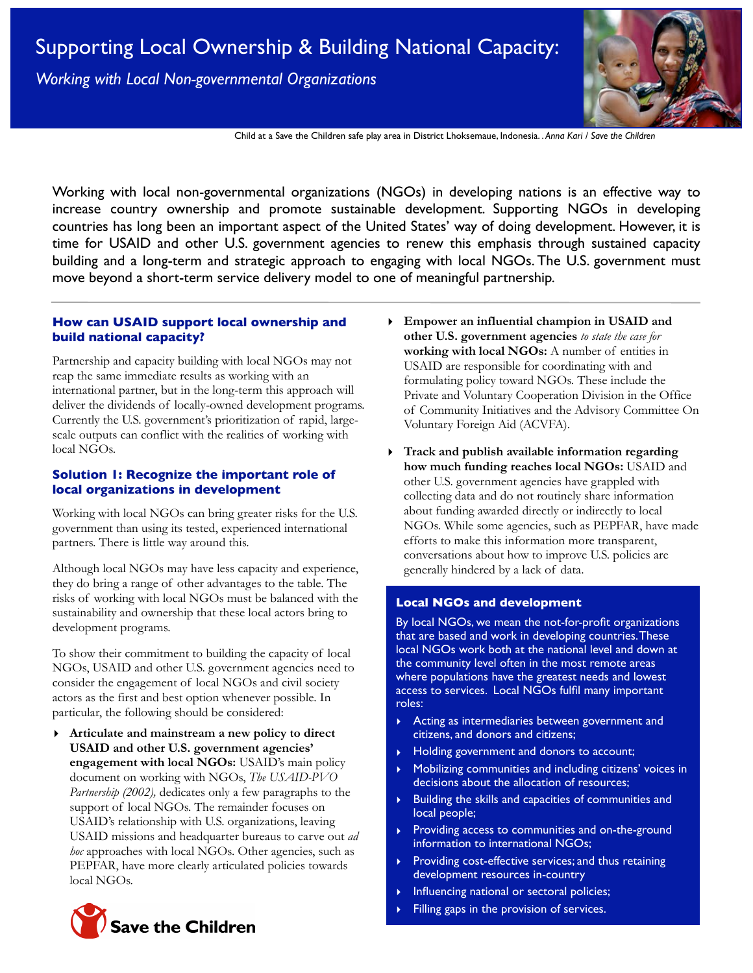*Working with Local Non-governmental Organizations* 



Child at a Save the Children safe play area in District Lhoksemaue, Indonesia. . *Anna Kari / Save the Children*

Working with local non-governmental organizations (NGOs) in developing nations is an effective way to increase country ownership and promote sustainable development. Supporting NGOs in developing countries has long been an important aspect of the United States' way of doing development. However, it is time for USAID and other U.S. government agencies to renew this emphasis through sustained capacity building and a long-term and strategic approach to engaging with local NGOs. The U.S. government must move beyond a short-term service delivery model to one of meaningful partnership.

# **How can USAID support local ownership and build national capacity?**

Partnership and capacity building with local NGOs may not reap the same immediate results as working with an international partner, but in the long-term this approach will deliver the dividends of locally-owned development programs. Currently the U.S. government's prioritization of rapid, largescale outputs can conflict with the realities of working with local NGOs.

### **Solution 1: Recognize the important role of local organizations in development**

Working with local NGOs can bring greater risks for the U.S. government than using its tested, experienced international partners. There is little way around this.

Although local NGOs may have less capacity and experience, they do bring a range of other advantages to the table. The risks of working with local NGOs must be balanced with the sustainability and ownership that these local actors bring to development programs.

To show their commitment to building the capacity of local NGOs, USAID and other U.S. government agencies need to consider the engagement of local NGOs and civil society actors as the first and best option whenever possible. In particular, the following should be considered:

- **‣ Articulate and mainstream a new policy to direct USAID and other U.S. government agencies' engagement with local NGOs:** USAID's main policy document on working with NGOs, *The USAID-PVO Partnership (2002),* dedicates only a few paragraphs to the support of local NGOs. The remainder focuses on USAID's relationship with U.S. organizations, leaving USAID missions and headquarter bureaus to carve out *ad hoc* approaches with local NGOs. Other agencies, such as PEPFAR, have more clearly articulated policies towards local NGOs.
	- **Save the Children**
- **‣ Empower an influential champion in USAID and other U.S. government agencies** *to state the case for* **working with local NGOs:** A number of entities in USAID are responsible for coordinating with and formulating policy toward NGOs. These include the Private and Voluntary Cooperation Division in the Office of Community Initiatives and the Advisory Committee On Voluntary Foreign Aid (ACVFA).
- **‣ Track and publish available information regarding how much funding reaches local NGOs:** USAID and other U.S. government agencies have grappled with collecting data and do not routinely share information about funding awarded directly or indirectly to local NGOs. While some agencies, such as PEPFAR, have made efforts to make this information more transparent, conversations about how to improve U.S. policies are generally hindered by a lack of data.

### **Local NGOs and development**

By local NGOs, we mean the not-for-profit organizations that are based and work in developing countries. These local NGOs work both at the national level and down at the community level often in the most remote areas where populations have the greatest needs and lowest access to services. Local NGOs fulfil many important roles:

- ‣ Acting as intermediaries between government and citizens, and donors and citizens;
- ‣ Holding government and donors to account;
- ‣ Mobilizing communities and including citizens' voices in decisions about the allocation of resources;
- ‣ Building the skills and capacities of communities and local people;
- ‣ Providing access to communities and on-the-ground information to international NGOs;
- ‣ Providing cost-effective services; and thus retaining development resources in-country
- ‣ Influencing national or sectoral policies;
- Filling gaps in the provision of services.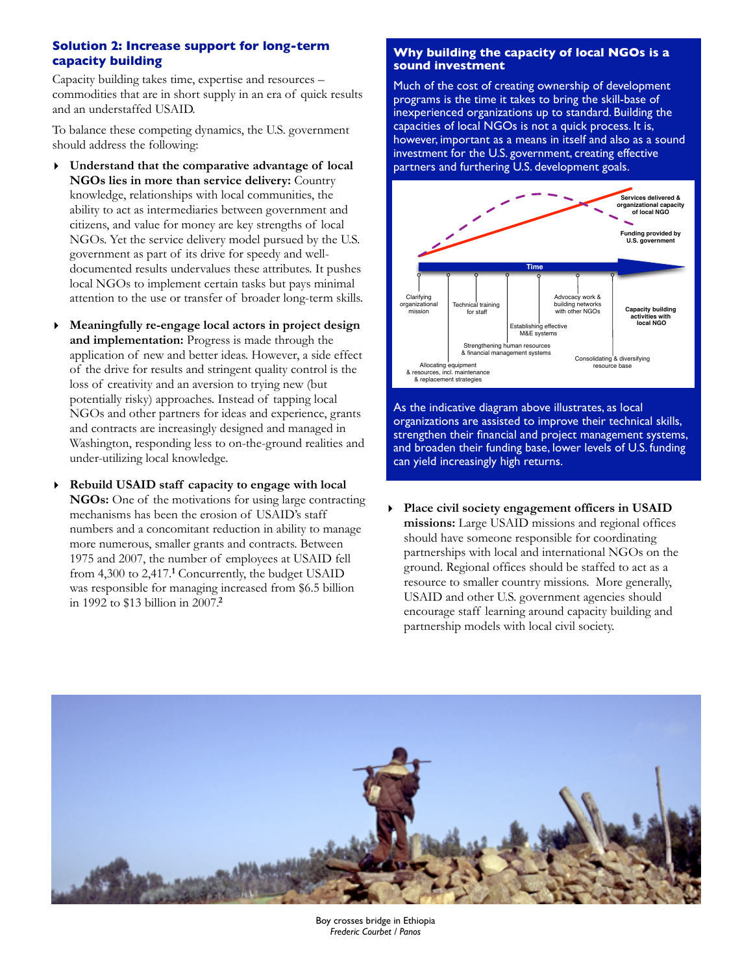# **Solution 2: Increase support for long-term capacity building**

Capacity building takes time, expertise and resources – commodities that are in short supply in an era of quick results and an understaffed USAID.

To balance these competing dynamics, the U.S. government should address the following:

- **‣ Understand that the comparative advantage of local NGOs lies in more than service delivery:** Country knowledge, relationships with local communities, the ability to act as intermediaries between government and citizens, and value for money are key strengths of local NGOs. Yet the service delivery model pursued by the U.S. government as part of its drive for speedy and welldocumented results undervalues these attributes. It pushes local NGOs to implement certain tasks but pays minimal attention to the use or transfer of broader long-term skills.
- **‣ Meaningfully re-engage local actors in project design and implementation:** Progress is made through the application of new and better ideas. However, a side effect of the drive for results and stringent quality control is the loss of creativity and an aversion to trying new (but potentially risky) approaches. Instead of tapping local NGOs and other partners for ideas and experience, grants and contracts are increasingly designed and managed in Washington, responding less to on-the-ground realities and under-utilizing local knowledge.
- **‣ Rebuild USAID staff capacity to engage with local NGOs:** One of the motivations for using large contracting mechanisms has been the erosion of USAID's staff numbers and a concomitant reduction in ability to manage more numerous, smaller grants and contracts. Between 1975 and 2007, the number of employees at USAID fell from 4,300 to 2,417.<sup>1</sup> Concurrently, the budget USAID was responsible for managing increased from \$6.5 billion in 1992 to \$13 billion in 2007.**<sup>2</sup>**

### **Why building the capacity of local NGOs is a sound investment**

Much of the cost of creating ownership of development programs is the time it takes to bring the skill-base of inexperienced organizations up to standard. Building the capacities of local NGOs is not a quick process. It is, however, important as a means in itself and also as a sound investment for the U.S. government, creating effective partners and furthering U.S. development goals.



As the indicative diagram above illustrates, as local organizations are assisted to improve their technical skills, strengthen their financial and project management systems, and broaden their funding base, lower levels of U.S. funding can yield increasingly high returns.

**‣ Place civil society engagement officers in USAID missions:** Large USAID missions and regional offices should have someone responsible for coordinating partnerships with local and international NGOs on the ground. Regional offices should be staffed to act as a resource to smaller country missions. More generally, USAID and other U.S. government agencies should encourage staff learning around capacity building and partnership models with local civil society.



Boy crosses bridge in Ethiopia *Frederic Courbet / Panos*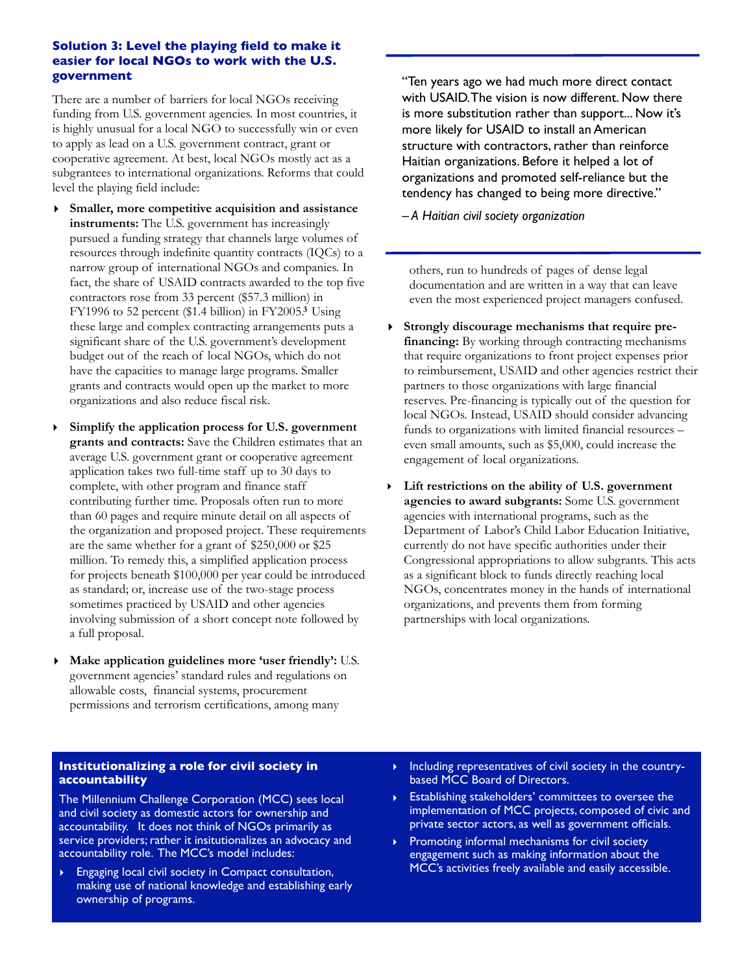### **Solution 3: Level the playing field to make it easier for local NGOs to work with the U.S. government**

There are a number of barriers for local NGOs receiving funding from U.S. government agencies. In most countries, it is highly unusual for a local NGO to successfully win or even to apply as lead on a U.S. government contract, grant or cooperative agreement. At best, local NGOs mostly act as a subgrantees to international organizations. Reforms that could level the playing field include:

- **‣ Smaller, more competitive acquisition and assistance instruments:** The U.S. government has increasingly pursued a funding strategy that channels large volumes of resources through indefinite quantity contracts (IQCs) to a narrow group of international NGOs and companies. In fact, the share of USAID contracts awarded to the top five contractors rose from 33 percent (\$57.3 million) in FY1996 to 52 percent (\$1.4 billion) in FY2005.**<sup>3</sup>** Using these large and complex contracting arrangements puts a significant share of the U.S. government's development budget out of the reach of local NGOs, which do not have the capacities to manage large programs. Smaller grants and contracts would open up the market to more organizations and also reduce fiscal risk.
- ‣ **Simplify the application process for U.S. government grants and contracts:** Save the Children estimates that an average U.S. government grant or cooperative agreement application takes two full-time staff up to 30 days to complete, with other program and finance staff contributing further time. Proposals often run to more than 60 pages and require minute detail on all aspects of the organization and proposed project. These requirements are the same whether for a grant of \$250,000 or \$25 million. To remedy this, a simplified application process for projects beneath \$100,000 per year could be introduced as standard; or, increase use of the two-stage process sometimes practiced by USAID and other agencies involving submission of a short concept note followed by a full proposal.
- **‣ Make application guidelines more 'user friendly':** U.S. government agencies' standard rules and regulations on allowable costs, financial systems, procurement permissions and terrorism certifications, among many

"Ten years ago we had much more direct contact with USAID. The vision is now different. Now there is more substitution rather than support... Now it's more likely for USAID to install an American structure with contractors, rather than reinforce Haitian organizations. Before it helped a lot of organizations and promoted self-reliance but the tendency has changed to being more directive."

*– A Haitian civil society organization*

others, run to hundreds of pages of dense legal documentation and are written in a way that can leave even the most experienced project managers confused.

- **‣ Strongly discourage mechanisms that require prefinancing:** By working through contracting mechanisms that require organizations to front project expenses prior to reimbursement, USAID and other agencies restrict their partners to those organizations with large financial reserves. Pre-financing is typically out of the question for local NGOs. Instead, USAID should consider advancing funds to organizations with limited financial resources – even small amounts, such as \$5,000, could increase the engagement of local organizations.
- ‣ **Lift restrictions on the ability of U.S. government agencies to award subgrants:** Some U.S. government agencies with international programs, such as the Department of Labor's Child Labor Education Initiative, currently do not have specific authorities under their Congressional appropriations to allow subgrants. This acts as a significant block to funds directly reaching local NGOs, concentrates money in the hands of international organizations, and prevents them from forming partnerships with local organizations.

# **Institutionalizing a role for civil society in accountability**

The Millennium Challenge Corporation (MCC) sees local and civil society as domestic actors for ownership and accountability. It does not think of NGOs primarily as service providers; rather it insitutionalizes an advocacy and accountability role. The MCC's model includes:

- Engaging local civil society in Compact consultation, making use of national knowledge and establishing early ownership of programs.
- **Including representatives of civil society in the country**based MCC Board of Directors.
- ‣ Establishing stakeholders' committees to oversee the implementation of MCC projects, composed of civic and private sector actors, as well as government officials.
- Promoting informal mechanisms for civil society engagement such as making information about the MCC's activities freely available and easily accessible.